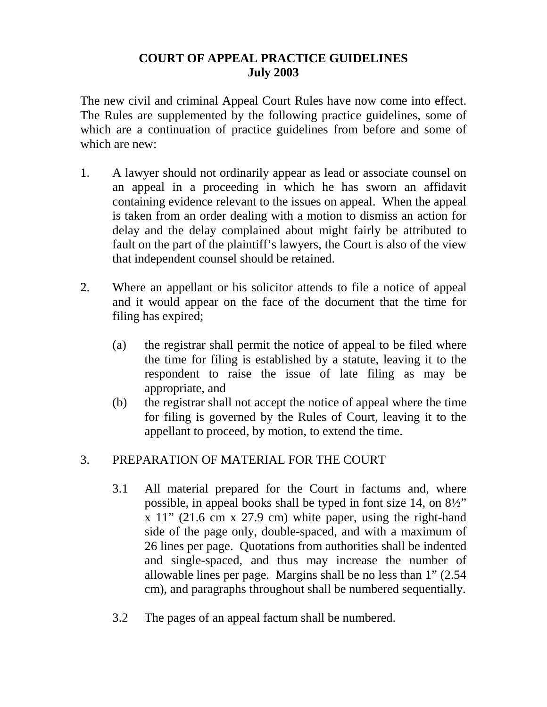## **COURT OF APPEAL PRACTICE GUIDELINES July 2003**

The new civil and criminal Appeal Court Rules have now come into effect. The Rules are supplemented by the following practice guidelines, some of which are a continuation of practice guidelines from before and some of which are new:

- 1. A lawyer should not ordinarily appear as lead or associate counsel on an appeal in a proceeding in which he has sworn an affidavit containing evidence relevant to the issues on appeal. When the appeal is taken from an order dealing with a motion to dismiss an action for delay and the delay complained about might fairly be attributed to fault on the part of the plaintiff's lawyers, the Court is also of the view that independent counsel should be retained.
- 2. Where an appellant or his solicitor attends to file a notice of appeal and it would appear on the face of the document that the time for filing has expired;
	- (a) the registrar shall permit the notice of appeal to be filed where the time for filing is established by a statute, leaving it to the respondent to raise the issue of late filing as may be appropriate, and
	- (b) the registrar shall not accept the notice of appeal where the time for filing is governed by the Rules of Court, leaving it to the appellant to proceed, by motion, to extend the time.

## 3. PREPARATION OF MATERIAL FOR THE COURT

- 3.1 All material prepared for the Court in factums and, where possible, in appeal books shall be typed in font size 14, on 8½" x 11" (21.6 cm x 27.9 cm) white paper, using the right-hand side of the page only, double-spaced, and with a maximum of 26 lines per page. Quotations from authorities shall be indented and single-spaced, and thus may increase the number of allowable lines per page. Margins shall be no less than 1" (2.54 cm), and paragraphs throughout shall be numbered sequentially.
- 3.2 The pages of an appeal factum shall be numbered.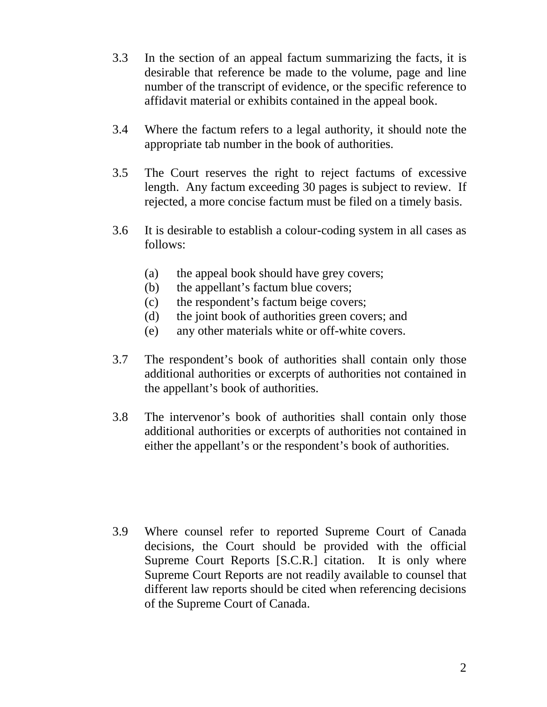- 3.3 In the section of an appeal factum summarizing the facts, it is desirable that reference be made to the volume, page and line number of the transcript of evidence, or the specific reference to affidavit material or exhibits contained in the appeal book.
- 3.4 Where the factum refers to a legal authority, it should note the appropriate tab number in the book of authorities.
- 3.5 The Court reserves the right to reject factums of excessive length. Any factum exceeding 30 pages is subject to review. If rejected, a more concise factum must be filed on a timely basis.
- 3.6 It is desirable to establish a colour-coding system in all cases as follows:
	- (a) the appeal book should have grey covers;
	- (b) the appellant's factum blue covers;
	- (c) the respondent's factum beige covers;
	- (d) the joint book of authorities green covers; and
	- (e) any other materials white or off-white covers.
- 3.7 The respondent's book of authorities shall contain only those additional authorities or excerpts of authorities not contained in the appellant's book of authorities.
- 3.8 The intervenor's book of authorities shall contain only those additional authorities or excerpts of authorities not contained in either the appellant's or the respondent's book of authorities.

3.9 Where counsel refer to reported Supreme Court of Canada decisions, the Court should be provided with the official Supreme Court Reports [S.C.R.] citation. It is only where Supreme Court Reports are not readily available to counsel that different law reports should be cited when referencing decisions of the Supreme Court of Canada.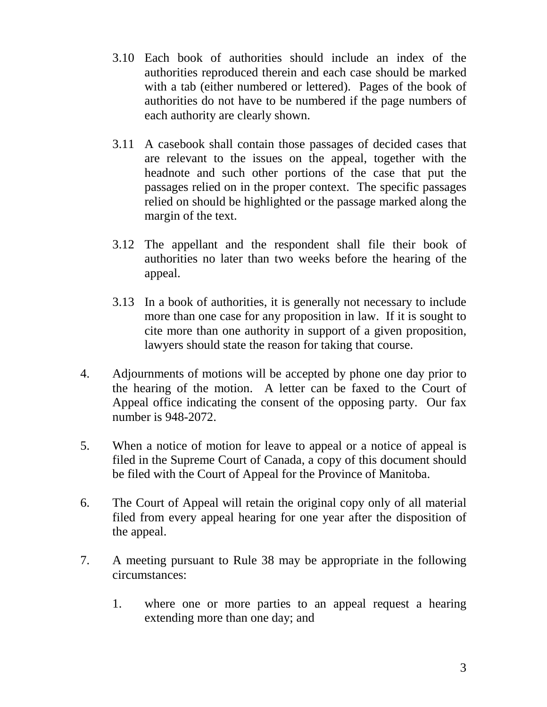- 3.10 Each book of authorities should include an index of the authorities reproduced therein and each case should be marked with a tab (either numbered or lettered). Pages of the book of authorities do not have to be numbered if the page numbers of each authority are clearly shown.
- 3.11 A casebook shall contain those passages of decided cases that are relevant to the issues on the appeal, together with the headnote and such other portions of the case that put the passages relied on in the proper context. The specific passages relied on should be highlighted or the passage marked along the margin of the text.
- 3.12 The appellant and the respondent shall file their book of authorities no later than two weeks before the hearing of the appeal.
- 3.13 In a book of authorities, it is generally not necessary to include more than one case for any proposition in law. If it is sought to cite more than one authority in support of a given proposition, lawyers should state the reason for taking that course.
- 4. Adjournments of motions will be accepted by phone one day prior to the hearing of the motion. A letter can be faxed to the Court of Appeal office indicating the consent of the opposing party. Our fax number is 948-2072.
- 5. When a notice of motion for leave to appeal or a notice of appeal is filed in the Supreme Court of Canada, a copy of this document should be filed with the Court of Appeal for the Province of Manitoba.
- 6. The Court of Appeal will retain the original copy only of all material filed from every appeal hearing for one year after the disposition of the appeal.
- 7. A meeting pursuant to Rule 38 may be appropriate in the following circumstances:
	- 1. where one or more parties to an appeal request a hearing extending more than one day; and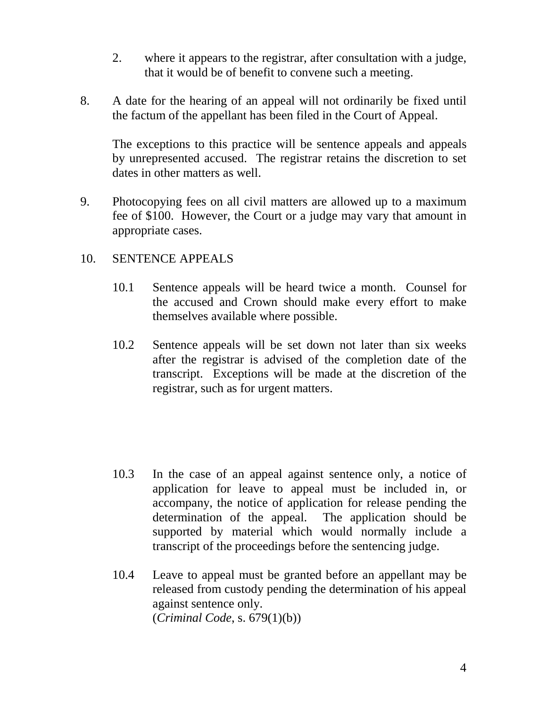- 2. where it appears to the registrar, after consultation with a judge, that it would be of benefit to convene such a meeting.
- 8. A date for the hearing of an appeal will not ordinarily be fixed until the factum of the appellant has been filed in the Court of Appeal.

The exceptions to this practice will be sentence appeals and appeals by unrepresented accused. The registrar retains the discretion to set dates in other matters as well.

9. Photocopying fees on all civil matters are allowed up to a maximum fee of \$100. However, the Court or a judge may vary that amount in appropriate cases.

## 10. SENTENCE APPEALS

- 10.1 Sentence appeals will be heard twice a month. Counsel for the accused and Crown should make every effort to make themselves available where possible.
- 10.2 Sentence appeals will be set down not later than six weeks after the registrar is advised of the completion date of the transcript. Exceptions will be made at the discretion of the registrar, such as for urgent matters.

- 10.3 In the case of an appeal against sentence only, a notice of application for leave to appeal must be included in, or accompany, the notice of application for release pending the determination of the appeal. The application should be supported by material which would normally include a transcript of the proceedings before the sentencing judge.
- 10.4 Leave to appeal must be granted before an appellant may be released from custody pending the determination of his appeal against sentence only. (*Criminal Code*, s. 679(1)(b))